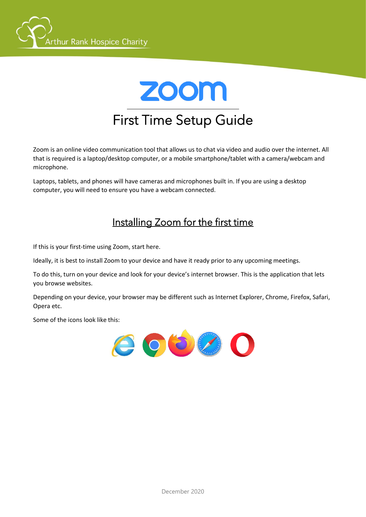



Zoom is an online video communication tool that allows us to chat via video and audio over the internet. All that is required is a laptop/desktop computer, or a mobile smartphone/tablet with a camera/webcam and microphone.

Laptops, tablets, and phones will have cameras and microphones built in. If you are using a desktop computer, you will need to ensure you have a webcam connected.

# Installing Zoom for the first time

If this is your first-time using Zoom, start here.

Ideally, it is best to install Zoom to your device and have it ready prior to any upcoming meetings.

To do this, turn on your device and look for your device's internet browser. This is the application that lets you browse websites.

Depending on your device, your browser may be different such as Internet Explorer, Chrome, Firefox, Safari, Opera etc.

Some of the icons look like this:

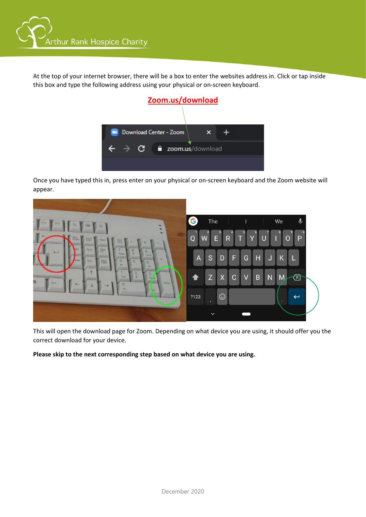

At the top of your internet browser, there will be a box to enter the websites address in. Click or tap inside this box and type the following address using your physical or on-screen keyboard.



Once you have typed this in, press enter on your physical or on-screen keyboard and the Zoom website will appear.



This will open the download page for Zoom. Depending on what device you are using, it should offer you the correct download for your device.

**Please skip to the next corresponding step based on what device you are using.**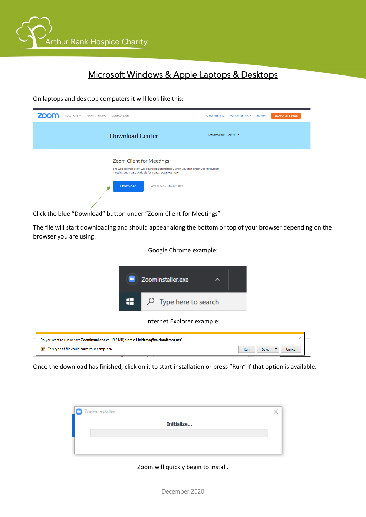

### Ĩ Microsoft Windows & Apple Laptops & Desktops

On laptops and desktop computers it will look like this:

| <b>ZOON</b> | SOLUTIONS - | PLANS & PRICING | <b>CONTACT SALES</b>                                                                                                                                                                                                               | <b>JOIN A MEETING</b>   | HOST A MEETING + | <b>SIGN IN</b> | <b>SIGN UP, IT'S FREE</b> |
|-------------|-------------|-----------------|------------------------------------------------------------------------------------------------------------------------------------------------------------------------------------------------------------------------------------|-------------------------|------------------|----------------|---------------------------|
|             |             |                 | <b>Download Center</b>                                                                                                                                                                                                             | Download for IT Admin + |                  |                |                           |
|             |             |                 | Zoom Client for Meetings<br>The web browser client will download automatically when you start or join your first Zoom<br>meeting, and is also available for manual download here.<br><b>Download</b><br>Version 5.4.2 (58740.1105) |                         |                  |                |                           |

Click the blue "Download" button under "Zoom Client for Meetings"

The file will start downloading and should appear along the bottom or top of your browser depending on the browser you are using.

#### Google Chrome example:



Once the download has finished, click on it to start installation or press "Run" if that option is available.

| Zoom Installer |  |
|----------------|--|
| Initialize     |  |
|                |  |
|                |  |

#### Zoom will quickly begin to install.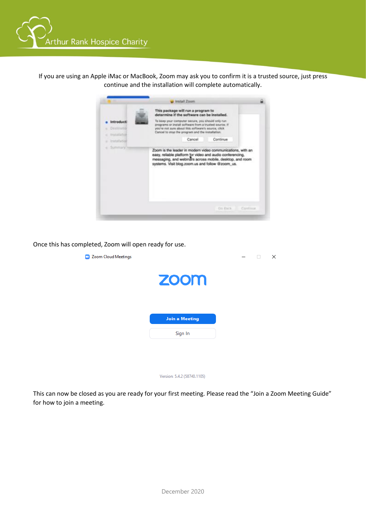

If you are using an Apple iMac or MacBook, Zoom may ask you to confirm it is a trusted source, just press continue and the installation will complete automatically.



Once this has completed, Zoom will open ready for use.

| <b>Zoom Cloud Meetings</b><br><b>D</b> |                             |  | $\times$ |
|----------------------------------------|-----------------------------|--|----------|
|                                        | zoom                        |  |          |
|                                        | <b>Join a Meeting</b>       |  |          |
|                                        | Sign In                     |  |          |
|                                        |                             |  |          |
|                                        |                             |  |          |
|                                        | Version: 5.4.2 (58740.1105) |  |          |

This can now be closed as you are ready for your first meeting. Please read the "Join a Zoom Meeting Guide" for how to join a meeting.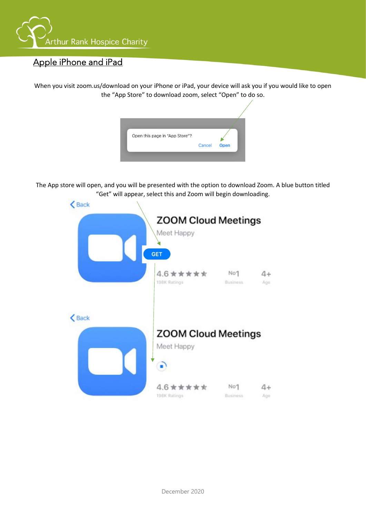

## Apple iPhone and iPad

When you visit zoom.us/download on your iPhone or iPad, your device will ask you if you would like to open the "App Store" to download zoom, select "Open" to do so.

| Open this page in "App Store"? |      |
|--------------------------------|------|
|                                |      |
| Cancel                         | Open |

The App store will open, and you will be presented with the option to download Zoom. A blue button titled "Get" will appear, select this and Zoom will begin downloading.

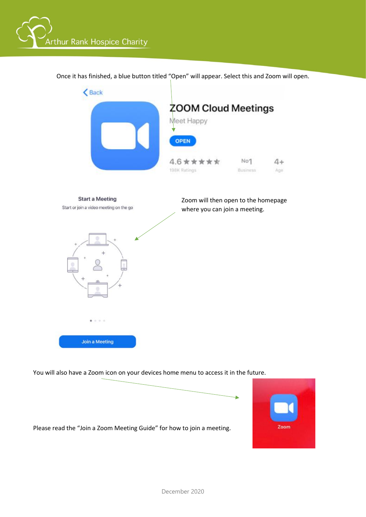



Once it has finished, a blue button titled "Open" will appear. Select this and Zoom will open.

You will also have a Zoom icon on your devices home menu to access it in the future.

Please read the "Join a Zoom Meeting Guide" for how to join a meeting.

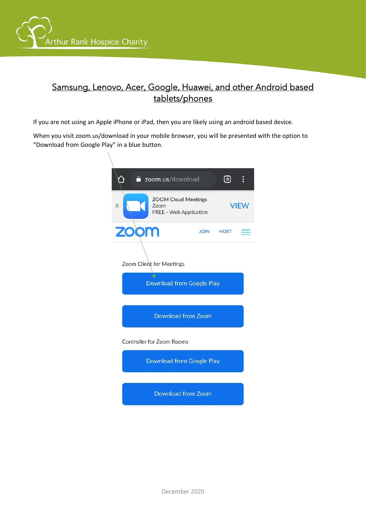

## Samsung, Lenovo, Acer, Google, Huawei, and other Android based tablets/phones

Ĩ

If you are not using an Apple iPhone or iPad, then you are likely using an android based device.

When you visit zoom.us/download in your mobile browser, you will be presented with the option to "Download from Google Play" in a blue button.

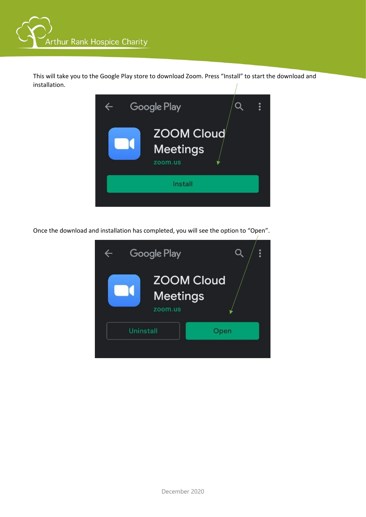

This will take you to the Google Play store to download Zoom. Press "Install" to start the download and installation.



Once the download and installation has completed, you will see the option to "Open".